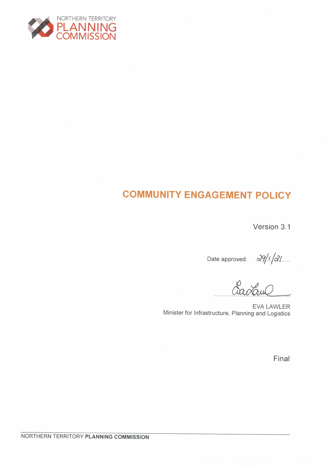

# **COMMUNITY ENGAGEMENT POLICY**

Version 3.1

Date approved:  $\frac{\partial q}{\partial \alpha}$ 

**EVA LAWLER** Minister for Infrastructure, Planning and Logistics

Final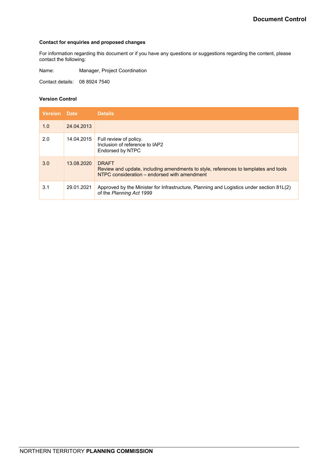#### **Contact for enquiries and proposed changes**

For information regarding this document or if you have any questions or suggestions regarding the content, please contact the following:

Name: Manager, Project Coordination

Contact details: 08 8924 7540

#### **Version Control**

| <b>Version</b> Date |            | <b>Details</b>                                                                                                                                      |
|---------------------|------------|-----------------------------------------------------------------------------------------------------------------------------------------------------|
| 1.0                 | 24.04.2013 |                                                                                                                                                     |
| 2.0                 | 14.04.2015 | Full review of policy.<br>Inclusion of reference to IAP2<br>Endorsed by NTPC                                                                        |
| 3.0                 | 13.08.2020 | <b>DRAFT</b><br>Review and update, including amendments to style, references to templates and tools<br>NTPC consideration – endorsed with amendment |
| 3.1                 | 29.01.2021 | Approved by the Minister for Infrastructure, Planning and Logistics under section 81L(2)<br>of the Planning Act 1999                                |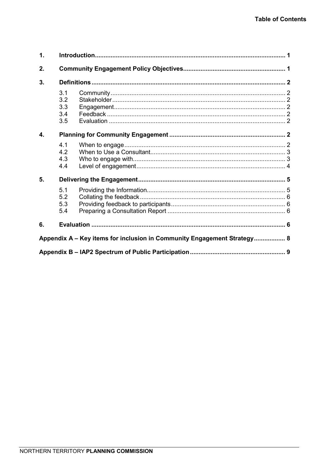| $\mathbf{1}$ .                                                          |                                 |  |  |  |  |  |
|-------------------------------------------------------------------------|---------------------------------|--|--|--|--|--|
| 2.                                                                      |                                 |  |  |  |  |  |
| 3.                                                                      |                                 |  |  |  |  |  |
|                                                                         | 3.1<br>3.2<br>3.3<br>3.4<br>3.5 |  |  |  |  |  |
| 4.                                                                      |                                 |  |  |  |  |  |
|                                                                         | 4.1<br>4.2<br>4.3<br>4.4        |  |  |  |  |  |
| 5.                                                                      |                                 |  |  |  |  |  |
|                                                                         | 5.1<br>5.2<br>5.3<br>5.4        |  |  |  |  |  |
| 6.                                                                      |                                 |  |  |  |  |  |
| Appendix A - Key items for inclusion in Community Engagement Strategy 8 |                                 |  |  |  |  |  |
|                                                                         |                                 |  |  |  |  |  |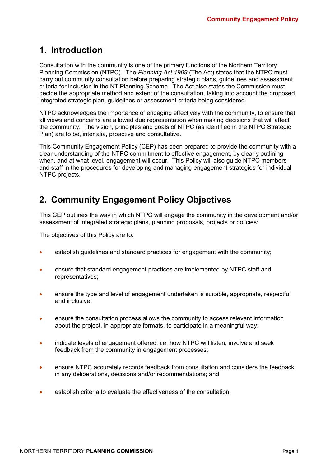## <span id="page-3-0"></span>**1. Introduction**

Consultation with the community is one of the primary functions of the Northern Territory Planning Commission (NTPC). The *Planning Act 1999* (The Act) states that the NTPC must carry out community consultation before preparing strategic plans, guidelines and assessment criteria for inclusion in the NT Planning Scheme. The Act also states the Commission must decide the appropriate method and extent of the consultation, taking into account the proposed integrated strategic plan, guidelines or assessment criteria being considered.

NTPC acknowledges the importance of engaging effectively with the community, to ensure that all views and concerns are allowed due representation when making decisions that will affect the community. The vision, principles and goals of NTPC (as identified in the NTPC Strategic Plan) are to be, inter alia, proactive and consultative.

This Community Engagement Policy (CEP) has been prepared to provide the community with a clear understanding of the NTPC commitment to effective engagement, by clearly outlining when, and at what level, engagement will occur. This Policy will also guide NTPC members and staff in the procedures for developing and managing engagement strategies for individual NTPC projects.

## <span id="page-3-1"></span>**2. Community Engagement Policy Objectives**

This CEP outlines the way in which NTPC will engage the community in the development and/or assessment of integrated strategic plans, planning proposals, projects or policies:

The objectives of this Policy are to:

- establish quidelines and standard practices for engagement with the community;
- ensure that standard engagement practices are implemented by NTPC staff and representatives;
- ensure the type and level of engagement undertaken is suitable, appropriate, respectful and inclusive;
- ensure the consultation process allows the community to access relevant information about the project, in appropriate formats, to participate in a meaningful way;
- indicate levels of engagement offered; i.e. how NTPC will listen, involve and seek feedback from the community in engagement processes;
- ensure NTPC accurately records feedback from consultation and considers the feedback in any deliberations, decisions and/or recommendations; and
- establish criteria to evaluate the effectiveness of the consultation.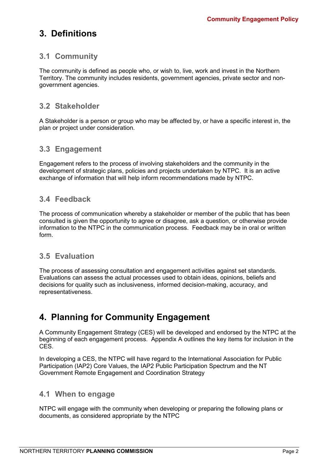## <span id="page-4-0"></span>**3. Definitions**

### <span id="page-4-1"></span>**3.1 Community**

The community is defined as people who, or wish to, live, work and invest in the Northern Territory. The community includes residents, government agencies, private sector and nongovernment agencies.

### <span id="page-4-2"></span>**3.2 Stakeholder**

A Stakeholder is a person or group who may be affected by, or have a specific interest in, the plan or project under consideration.

### <span id="page-4-3"></span>**3.3 Engagement**

Engagement refers to the process of involving stakeholders and the community in the development of strategic plans, policies and projects undertaken by NTPC. It is an active exchange of information that will help inform recommendations made by NTPC.

### <span id="page-4-4"></span>**3.4 Feedback**

The process of communication whereby a stakeholder or member of the public that has been consulted is given the opportunity to agree or disagree, ask a question, or otherwise provide information to the NTPC in the communication process. Feedback may be in oral or written form.

### <span id="page-4-5"></span>**3.5 Evaluation**

The process of assessing consultation and engagement activities against set standards. Evaluations can assess the actual processes used to obtain ideas, opinions, beliefs and decisions for quality such as inclusiveness, informed decision-making, accuracy, and representativeness.

## <span id="page-4-6"></span>**4. Planning for Community Engagement**

A Community Engagement Strategy (CES) will be developed and endorsed by the NTPC at the beginning of each engagement process. Appendix A outlines the key items for inclusion in the CES.

In developing a CES, the NTPC will have regard to the International Association for Public Participation (IAP2) Core Values, the IAP2 Public Participation Spectrum and the NT Government Remote Engagement and Coordination Strategy

### <span id="page-4-7"></span>**4.1 When to engage**

NTPC will engage with the community when developing or preparing the following plans or documents, as considered appropriate by the NTPC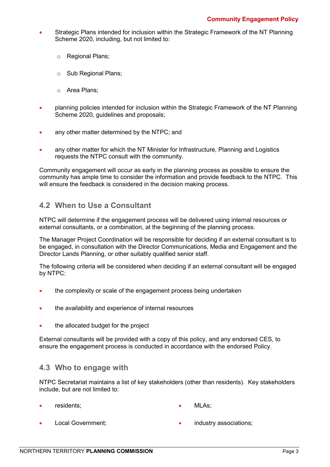- Strategic Plans intended for inclusion within the Strategic Framework of the NT Planning Scheme 2020, including, but not limited to:
	- o Regional Plans;
	- o Sub Regional Plans;
	- o Area Plans;
- planning policies intended for inclusion within the Strategic Framework of the NT Planning Scheme 2020, guidelines and proposals;
- any other matter determined by the NTPC; and
- any other matter for which the NT Minister for Infrastructure, Planning and Logistics requests the NTPC consult with the community.

Community engagement will occur as early in the planning process as possible to ensure the community has ample time to consider the information and provide feedback to the NTPC. This will ensure the feedback is considered in the decision making process.

### <span id="page-5-0"></span>**4.2 When to Use a Consultant**

NTPC will determine if the engagement process will be delivered using internal resources or external consultants, or a combination, at the beginning of the planning process.

The Manager Project Coordination will be responsible for deciding if an external consultant is to be engaged, in consultation with the Director Communications, Media and Engagement and the Director Lands Planning, or other suitably qualified senior staff.

The following criteria will be considered when deciding if an external consultant will be engaged by NTPC:

- the complexity or scale of the engagement process being undertaken
- the availability and experience of internal resources
- the allocated budget for the project

External consultants will be provided with a copy of this policy, and any endorsed CES, to ensure the engagement process is conducted in accordance with the endorsed Policy.

### <span id="page-5-1"></span>**4.3 Who to engage with**

NTPC Secretariat maintains a list of key stakeholders (other than residents). Key stakeholders include, but are not limited to:

- residents: MLAs:
- Local Government;

industry associations;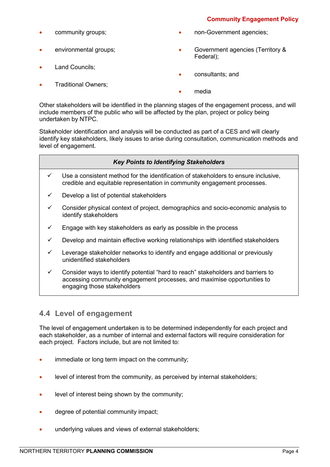### **Community Engagement Policy**

- community groups;
- environmental groups;
- Land Councils:
- Traditional Owners;
- non-Government agencies;
- Government agencies (Territory & Federal);
- consultants; and
- media

Other stakeholders will be identified in the planning stages of the engagement process, and will include members of the public who will be affected by the plan, project or policy being undertaken by NTPC.

Stakeholder identification and analysis will be conducted as part of a CES and will clearly identify key stakeholders, likely issues to arise during consultation, communication methods and level of engagement.

#### *Key Points to Identifying Stakeholders*

- $\checkmark$  Use a consistent method for the identification of stakeholders to ensure inclusive, credible and equitable representation in community engagement processes.
- $\checkmark$  Develop a list of potential stakeholders
- $\checkmark$  Consider physical context of project, demographics and socio-economic analysis to identify stakeholders
- $\checkmark$  Engage with key stakeholders as early as possible in the process
- $\checkmark$  Develop and maintain effective working relationships with identified stakeholders
- $\checkmark$  Leverage stakeholder networks to identify and engage additional or previously unidentified stakeholders
- $\checkmark$  Consider ways to identify potential "hard to reach" stakeholders and barriers to accessing community engagement processes, and maximise opportunities to engaging those stakeholders

## <span id="page-6-0"></span>**4.4 Level of engagement**

The level of engagement undertaken is to be determined independently for each project and each stakeholder, as a number of internal and external factors will require consideration for each project. Factors include, but are not limited to:

- immediate or long term impact on the community;
- level of interest from the community, as perceived by internal stakeholders;
- level of interest being shown by the community;
- degree of potential community impact;
- underlying values and views of external stakeholders: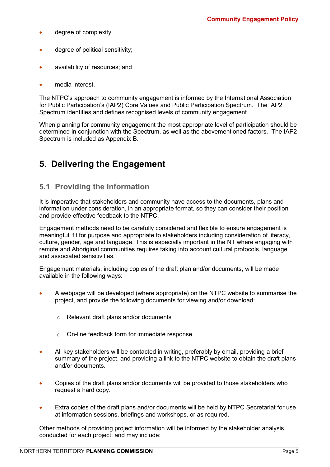- degree of complexity;
- degree of political sensitivity;
- availability of resources; and
- media interest.

The NTPC's approach to community engagement is informed by the International Association for Public Participation's (IAP2) Core Values and Public Participation Spectrum. The IAP2 Spectrum identifies and defines recognised levels of community engagement.

When planning for community engagement the most appropriate level of participation should be determined in conjunction with the Spectrum, as well as the abovementioned factors. The IAP2 Spectrum is included as Appendix B.

## <span id="page-7-0"></span>**5. Delivering the Engagement**

## <span id="page-7-1"></span>**5.1 Providing the Information**

It is imperative that stakeholders and community have access to the documents, plans and information under consideration, in an appropriate format, so they can consider their position and provide effective feedback to the NTPC.

Engagement methods need to be carefully considered and flexible to ensure engagement is meaningful, fit for purpose and appropriate to stakeholders including consideration of literacy, culture, gender, age and language. This is especially important in the NT where engaging with remote and Aboriginal communities requires taking into account cultural protocols, language and associated sensitivities.

Engagement materials, including copies of the draft plan and/or documents, will be made available in the following ways:

- A webpage will be developed (where appropriate) on the NTPC website to summarise the project, and provide the following documents for viewing and/or download:
	- o Relevant draft plans and/or documents
	- o On-line feedback form for immediate response
- All key stakeholders will be contacted in writing, preferably by email, providing a brief summary of the project, and providing a link to the NTPC website to obtain the draft plans and/or documents.
- Copies of the draft plans and/or documents will be provided to those stakeholders who request a hard copy.
- Extra copies of the draft plans and/or documents will be held by NTPC Secretariat for use at information sessions, briefings and workshops, or as required.

Other methods of providing project information will be informed by the stakeholder analysis conducted for each project, and may include: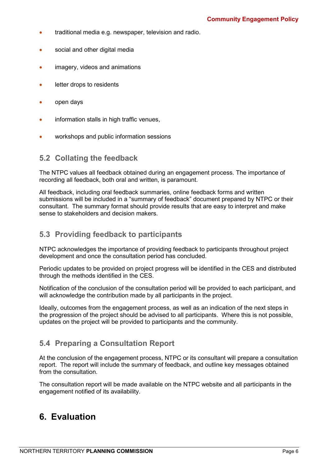- traditional media e.g. newspaper, television and radio.
- social and other digital media
- imagery, videos and animations
- letter drops to residents
- open days
- information stalls in high traffic venues,
- workshops and public information sessions

### <span id="page-8-0"></span>**5.2 Collating the feedback**

The NTPC values all feedback obtained during an engagement process. The importance of recording all feedback, both oral and written, is paramount.

All feedback, including oral feedback summaries, online feedback forms and written submissions will be included in a "summary of feedback" document prepared by NTPC or their consultant. The summary format should provide results that are easy to interpret and make sense to stakeholders and decision makers.

### <span id="page-8-1"></span>**5.3 Providing feedback to participants**

NTPC acknowledges the importance of providing feedback to participants throughout project development and once the consultation period has concluded.

Periodic updates to be provided on project progress will be identified in the CES and distributed through the methods identified in the CES.

Notification of the conclusion of the consultation period will be provided to each participant, and will acknowledge the contribution made by all participants in the project.

Ideally, outcomes from the engagement process, as well as an indication of the next steps in the progression of the project should be advised to all participants. Where this is not possible, updates on the project will be provided to participants and the community.

### <span id="page-8-2"></span>**5.4 Preparing a Consultation Report**

At the conclusion of the engagement process, NTPC or its consultant will prepare a consultation report. The report will include the summary of feedback, and outline key messages obtained from the consultation.

The consultation report will be made available on the NTPC website and all participants in the engagement notified of its availability.

## <span id="page-8-3"></span>**6. Evaluation**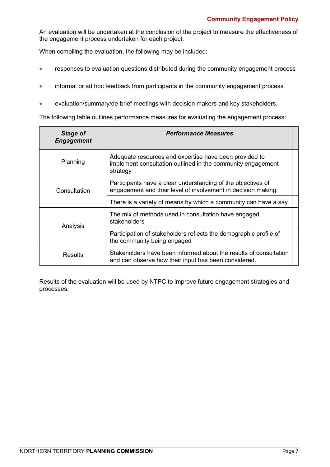An evaluation will be undertaken at the conclusion of the project to measure the effectiveness of the engagement process undertaken for each project.

When compiling the evaluation, the following may be included:

- responses to evaluation questions distributed during the community engagement process
- informal or ad hoc feedback from participants in the community engagement process
- evaluation/summary/de-brief meetings with decision makers and key stakeholders.

The following table outlines performance measures for evaluating the engagement process:

| <b>Stage of</b><br><b>Engagement</b> | <b>Performance Measures</b>                                                                                                       |  |  |
|--------------------------------------|-----------------------------------------------------------------------------------------------------------------------------------|--|--|
| Planning                             | Adequate resources and expertise have been provided to<br>implement consultation outlined in the community engagement<br>strategy |  |  |
| Consultation                         | Participants have a clear understanding of the objectives of<br>engagement and their level of involvement in decision making.     |  |  |
|                                      | There is a variety of means by which a community can have a say                                                                   |  |  |
| Analysis                             | The mix of methods used in consultation have engaged<br>stakeholders                                                              |  |  |
|                                      | Participation of stakeholders reflects the demographic profile of<br>the community being engaged                                  |  |  |
| Results                              | Stakeholders have been informed about the results of consultation<br>and can observe how their input has been considered.         |  |  |

Results of the evaluation will be used by NTPC to improve future engagement strategies and processes.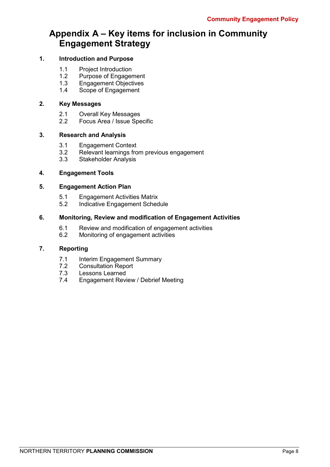## <span id="page-10-0"></span>**Appendix A – Key items for inclusion in Community Engagement Strategy**

### **1. Introduction and Purpose**

- 1.1 Project Introduction<br>1.2 Purpose of Engager
- 1.2 Purpose of Engagement<br>1.3 Engagement Objectives
- 1.3 Engagement Objectives<br>1.4 Scope of Engagement
- Scope of Engagement

#### **2. Key Messages**

- 2.1 Overall Key Messages<br>2.2 Focus Area / Issue Spe
- Focus Area / Issue Specific

#### **3. Research and Analysis**

- 3.1 Engagement Context<br>3.2 Relevant learnings fro
- 3.2 Relevant learnings from previous engagement<br>3.3 Stakeholder Analysis
- Stakeholder Analysis

#### **4. Engagement Tools**

### **5. Engagement Action Plan**

- 5.1 Engagement Activities Matrix<br>5.2 Indicative Engagement Schec
- Indicative Engagement Schedule

#### **6. Monitoring, Review and modification of Engagement Activities**

- 6.1 Review and modification of engagement activities<br>6.2 Monitoring of engagement activities
- Monitoring of engagement activities

#### **7. Reporting**

- 7.1 Interim Engagement Summary<br>7.2 Consultation Report
- 7.2 Consultation Report<br>7.3 Lessons Learned
- Lessons Learned
- 7.4 Engagement Review / Debrief Meeting